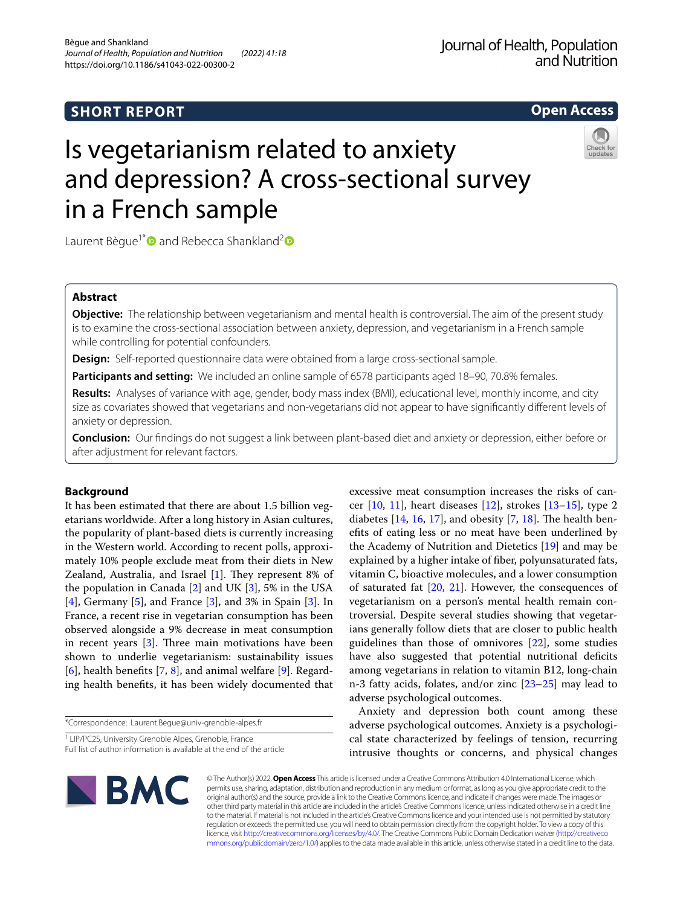# **SHORT REPORT**

**Open Access**

# Is vegetarianism related to anxiety and depression? A cross-sectional survey in a French sample



Laurent Bègue<sup>1\*</sup> and Rebecca Shankland<sup>2</sup>

## **Abstract**

**Objective:** The relationship between vegetarianism and mental health is controversial. The aim of the present study is to examine the cross-sectional association between anxiety, depression, and vegetarianism in a French sample while controlling for potential confounders.

**Design:** Self-reported questionnaire data were obtained from a large cross-sectional sample.

**Participants and setting:** We included an online sample of 6578 participants aged 18–90, 70.8% females.

**Results:** Analyses of variance with age, gender, body mass index (BMI), educational level, monthly income, and city size as covariates showed that vegetarians and non-vegetarians did not appear to have signifcantly diferent levels of anxiety or depression.

**Conclusion:** Our fndings do not suggest a link between plant-based diet and anxiety or depression, either before or after adjustment for relevant factors.

## **Background**

It has been estimated that there are about 1.5 billion vegetarians worldwide. After a long history in Asian cultures, the popularity of plant-based diets is currently increasing in the Western world. According to recent polls, approximately 10% people exclude meat from their diets in New Zealand, Australia, and Israel  $[1]$  $[1]$ . They represent 8% of the population in Canada  $[2]$  $[2]$  and UK  $[3]$  $[3]$ , 5% in the USA [[4\]](#page-4-3), Germany [\[5](#page-4-4)], and France [\[3](#page-4-2)], and 3% in Spain [[3](#page-4-2)]. In France, a recent rise in vegetarian consumption has been observed alongside a 9% decrease in meat consumption in recent years  $[3]$  $[3]$ . Three main motivations have been shown to underlie vegetarianism: sustainability issues  $[6]$  $[6]$ , health benefits  $[7, 8]$  $[7, 8]$  $[7, 8]$  $[7, 8]$ , and animal welfare  $[9]$  $[9]$ . Regarding health benefts, it has been widely documented that

\*Correspondence: Laurent.Begue@univ-grenoble-alpes.fr

<sup>1</sup> LIP/PC2S, University Grenoble Alpes, Grenoble, France Full list of author information is available at the end of the article excessive meat consumption increases the risks of cancer  $[10, 11]$  $[10, 11]$  $[10, 11]$  $[10, 11]$ , heart diseases  $[12]$  $[12]$ , strokes  $[13–15]$  $[13–15]$  $[13–15]$  $[13–15]$ , type 2 diabetes  $[14, 16, 17]$  $[14, 16, 17]$  $[14, 16, 17]$  $[14, 16, 17]$  $[14, 16, 17]$ , and obesity  $[7, 18]$  $[7, 18]$  $[7, 18]$  $[7, 18]$ . The health benefts of eating less or no meat have been underlined by the Academy of Nutrition and Dietetics [[19\]](#page-4-18) and may be explained by a higher intake of fber, polyunsaturated fats, vitamin C, bioactive molecules, and a lower consumption of saturated fat  $[20, 21]$  $[20, 21]$  $[20, 21]$  $[20, 21]$ . However, the consequences of vegetarianism on a person's mental health remain controversial. Despite several studies showing that vegetarians generally follow diets that are closer to public health guidelines than those of omnivores [[22\]](#page-4-21), some studies have also suggested that potential nutritional deficits among vegetarians in relation to vitamin B12, long-chain n-3 fatty acids, folates, and/or zinc  $\left[23-25\right]$  $\left[23-25\right]$  $\left[23-25\right]$  may lead to adverse psychological outcomes.

Anxiety and depression both count among these adverse psychological outcomes. Anxiety is a psychological state characterized by feelings of tension, recurring intrusive thoughts or concerns, and physical changes



© The Author(s) 2022. **Open Access** This article is licensed under a Creative Commons Attribution 4.0 International License, which permits use, sharing, adaptation, distribution and reproduction in any medium or format, as long as you give appropriate credit to the original author(s) and the source, provide a link to the Creative Commons licence, and indicate if changes were made. The images or other third party material in this article are included in the article's Creative Commons licence, unless indicated otherwise in a credit line to the material. If material is not included in the article's Creative Commons licence and your intended use is not permitted by statutory regulation or exceeds the permitted use, you will need to obtain permission directly from the copyright holder. To view a copy of this licence, visit [http://creativecommons.org/licenses/by/4.0/.](http://creativecommons.org/licenses/by/4.0/) The Creative Commons Public Domain Dedication waiver ([http://creativeco](http://creativecommons.org/publicdomain/zero/1.0/) [mmons.org/publicdomain/zero/1.0/](http://creativecommons.org/publicdomain/zero/1.0/)) applies to the data made available in this article, unless otherwise stated in a credit line to the data.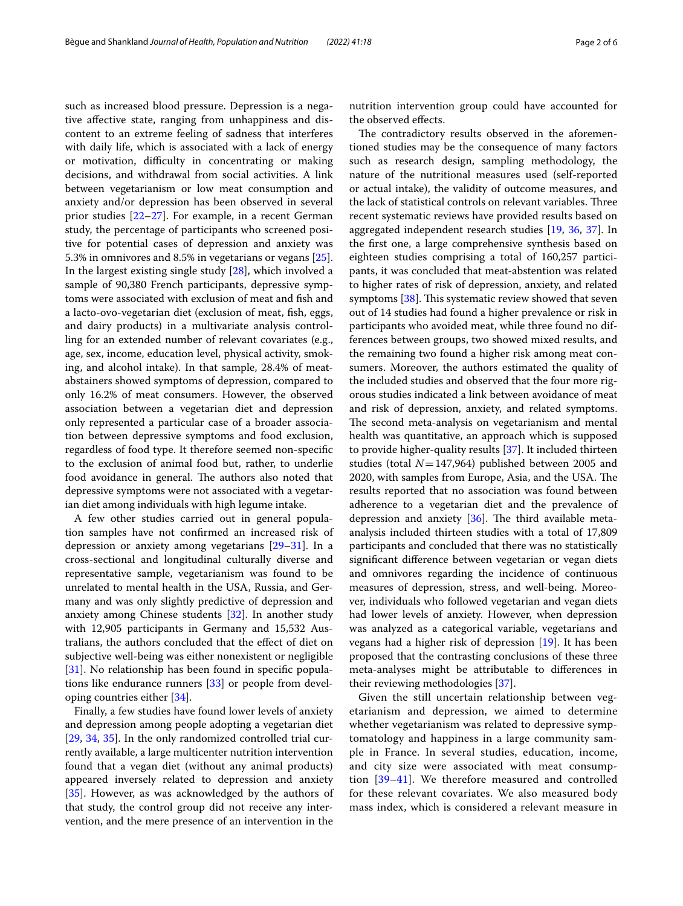such as increased blood pressure. Depression is a negative afective state, ranging from unhappiness and discontent to an extreme feeling of sadness that interferes with daily life, which is associated with a lack of energy or motivation, difficulty in concentrating or making decisions, and withdrawal from social activities. A link between vegetarianism or low meat consumption and anxiety and/or depression has been observed in several prior studies [\[22–](#page-4-21)[27\]](#page-4-24). For example, in a recent German study, the percentage of participants who screened positive for potential cases of depression and anxiety was 5.3% in omnivores and 8.5% in vegetarians or vegans [\[25](#page-4-23)]. In the largest existing single study [[28\]](#page-5-0), which involved a sample of 90,380 French participants, depressive symptoms were associated with exclusion of meat and fsh and a lacto-ovo-vegetarian diet (exclusion of meat, fsh, eggs, and dairy products) in a multivariate analysis controlling for an extended number of relevant covariates (e.g., age, sex, income, education level, physical activity, smoking, and alcohol intake). In that sample, 28.4% of meatabstainers showed symptoms of depression, compared to only 16.2% of meat consumers. However, the observed association between a vegetarian diet and depression only represented a particular case of a broader association between depressive symptoms and food exclusion, regardless of food type. It therefore seemed non-specifc to the exclusion of animal food but, rather, to underlie food avoidance in general. The authors also noted that depressive symptoms were not associated with a vegetarian diet among individuals with high legume intake.

A few other studies carried out in general population samples have not confrmed an increased risk of depression or anxiety among vegetarians [[29–](#page-5-1)[31](#page-5-2)]. In a cross-sectional and longitudinal culturally diverse and representative sample, vegetarianism was found to be unrelated to mental health in the USA, Russia, and Germany and was only slightly predictive of depression and anxiety among Chinese students [[32\]](#page-5-3). In another study with 12,905 participants in Germany and 15,532 Australians, the authors concluded that the efect of diet on subjective well-being was either nonexistent or negligible [[31\]](#page-5-2). No relationship has been found in specific populations like endurance runners [[33\]](#page-5-4) or people from developing countries either [\[34\]](#page-5-5).

Finally, a few studies have found lower levels of anxiety and depression among people adopting a vegetarian diet [[29,](#page-5-1) [34,](#page-5-5) [35\]](#page-5-6). In the only randomized controlled trial currently available, a large multicenter nutrition intervention found that a vegan diet (without any animal products) appeared inversely related to depression and anxiety [[35\]](#page-5-6). However, as was acknowledged by the authors of that study, the control group did not receive any intervention, and the mere presence of an intervention in the nutrition intervention group could have accounted for the observed efects.

The contradictory results observed in the aforementioned studies may be the consequence of many factors such as research design, sampling methodology, the nature of the nutritional measures used (self-reported or actual intake), the validity of outcome measures, and the lack of statistical controls on relevant variables. Three recent systematic reviews have provided results based on aggregated independent research studies [\[19](#page-4-18), [36,](#page-5-7) [37](#page-5-8)]. In the frst one, a large comprehensive synthesis based on eighteen studies comprising a total of 160,257 participants, it was concluded that meat-abstention was related to higher rates of risk of depression, anxiety, and related symptoms  $[38]$  $[38]$ . This systematic review showed that seven out of 14 studies had found a higher prevalence or risk in participants who avoided meat, while three found no differences between groups, two showed mixed results, and the remaining two found a higher risk among meat consumers. Moreover, the authors estimated the quality of the included studies and observed that the four more rigorous studies indicated a link between avoidance of meat and risk of depression, anxiety, and related symptoms. The second meta-analysis on vegetarianism and mental health was quantitative, an approach which is supposed to provide higher-quality results [[37](#page-5-8)]. It included thirteen studies (total *N*=147,964) published between 2005 and 2020, with samples from Europe, Asia, and the USA. The results reported that no association was found between adherence to a vegetarian diet and the prevalence of depression and anxiety  $[36]$  $[36]$ . The third available metaanalysis included thirteen studies with a total of 17,809 participants and concluded that there was no statistically signifcant diference between vegetarian or vegan diets and omnivores regarding the incidence of continuous measures of depression, stress, and well-being. Moreover, individuals who followed vegetarian and vegan diets had lower levels of anxiety. However, when depression was analyzed as a categorical variable, vegetarians and vegans had a higher risk of depression [\[19\]](#page-4-18). It has been proposed that the contrasting conclusions of these three meta-analyses might be attributable to diferences in their reviewing methodologies [[37\]](#page-5-8).

Given the still uncertain relationship between vegetarianism and depression, we aimed to determine whether vegetarianism was related to depressive symptomatology and happiness in a large community sample in France. In several studies, education, income, and city size were associated with meat consumption [[39](#page-5-10)–[41](#page-5-11)]. We therefore measured and controlled for these relevant covariates. We also measured body mass index, which is considered a relevant measure in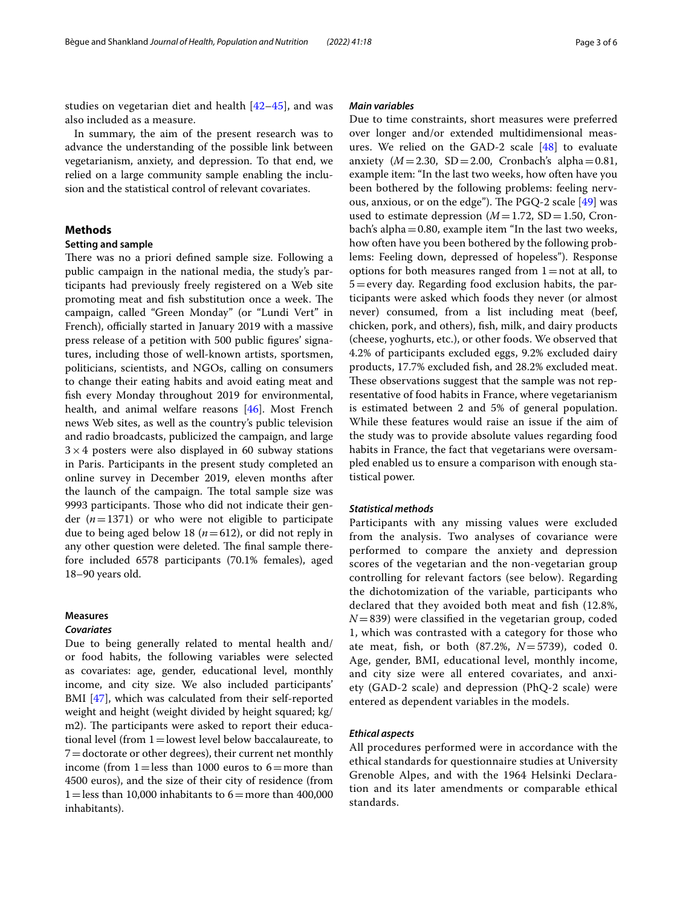studies on vegetarian diet and health  $[42-45]$  $[42-45]$  $[42-45]$ , and was also included as a measure.

In summary, the aim of the present research was to advance the understanding of the possible link between vegetarianism, anxiety, and depression. To that end, we relied on a large community sample enabling the inclusion and the statistical control of relevant covariates.

## **Methods**

## **Setting and sample**

There was no a priori defined sample size. Following a public campaign in the national media, the study's participants had previously freely registered on a Web site promoting meat and fish substitution once a week. The campaign, called "Green Monday" (or "Lundi Vert" in French), officially started in January 2019 with a massive press release of a petition with 500 public fgures' signatures, including those of well-known artists, sportsmen, politicians, scientists, and NGOs, calling on consumers to change their eating habits and avoid eating meat and fsh every Monday throughout 2019 for environmental, health, and animal welfare reasons [[46\]](#page-5-14). Most French news Web sites, as well as the country's public television and radio broadcasts, publicized the campaign, and large  $3 \times 4$  posters were also displayed in 60 subway stations in Paris. Participants in the present study completed an online survey in December 2019, eleven months after the launch of the campaign. The total sample size was 9993 participants. Those who did not indicate their gender  $(n=1371)$  or who were not eligible to participate due to being aged below 18 ( $n=612$ ), or did not reply in any other question were deleted. The final sample therefore included 6578 participants (70.1% females), aged 18–90 years old.

## **Measures**

## *Covariates*

Due to being generally related to mental health and/ or food habits, the following variables were selected as covariates: age, gender, educational level, monthly income, and city size. We also included participants' BMI [[47](#page-5-15)], which was calculated from their self-reported weight and height (weight divided by height squared; kg/ m2). The participants were asked to report their educational level (from 1=lowest level below baccalaureate, to 7=doctorate or other degrees), their current net monthly income (from  $1 =$  less than 1000 euros to  $6 =$  more than 4500 euros), and the size of their city of residence (from 1 = less than 10,000 inhabitants to  $6=$  more than 400,000 inhabitants).

## *Main variables*

Due to time constraints, short measures were preferred over longer and/or extended multidimensional measures. We relied on the GAD-2 scale [\[48](#page-5-16)] to evaluate anxiety ( $M = 2.30$ , SD = 2.00, Cronbach's alpha = 0.81, example item: "In the last two weeks, how often have you been bothered by the following problems: feeling nervous, anxious, or on the edge"). The PGO-2 scale  $[49]$  $[49]$  $[49]$  was used to estimate depression  $(M=1.72, SD=1.50, Cron$ bach's alpha=0.80, example item "In the last two weeks, how often have you been bothered by the following problems: Feeling down, depressed of hopeless"). Response options for both measures ranged from  $1=$ not at all, to  $5 =$ every day. Regarding food exclusion habits, the participants were asked which foods they never (or almost never) consumed, from a list including meat (beef, chicken, pork, and others), fsh, milk, and dairy products (cheese, yoghurts, etc.), or other foods. We observed that 4.2% of participants excluded eggs, 9.2% excluded dairy products, 17.7% excluded fsh, and 28.2% excluded meat. These observations suggest that the sample was not representative of food habits in France, where vegetarianism is estimated between 2 and 5% of general population. While these features would raise an issue if the aim of the study was to provide absolute values regarding food habits in France, the fact that vegetarians were oversampled enabled us to ensure a comparison with enough statistical power.

## *Statistical methods*

Participants with any missing values were excluded from the analysis. Two analyses of covariance were performed to compare the anxiety and depression scores of the vegetarian and the non-vegetarian group controlling for relevant factors (see below). Regarding the dichotomization of the variable, participants who declared that they avoided both meat and fsh (12.8%, *N*=839) were classifed in the vegetarian group, coded 1, which was contrasted with a category for those who ate meat, fsh, or both (87.2%, *N*=5739), coded 0. Age, gender, BMI, educational level, monthly income, and city size were all entered covariates, and anxiety (GAD-2 scale) and depression (PhQ-2 scale) were entered as dependent variables in the models.

## *Ethical aspects*

All procedures performed were in accordance with the ethical standards for questionnaire studies at University Grenoble Alpes, and with the 1964 Helsinki Declaration and its later amendments or comparable ethical standards.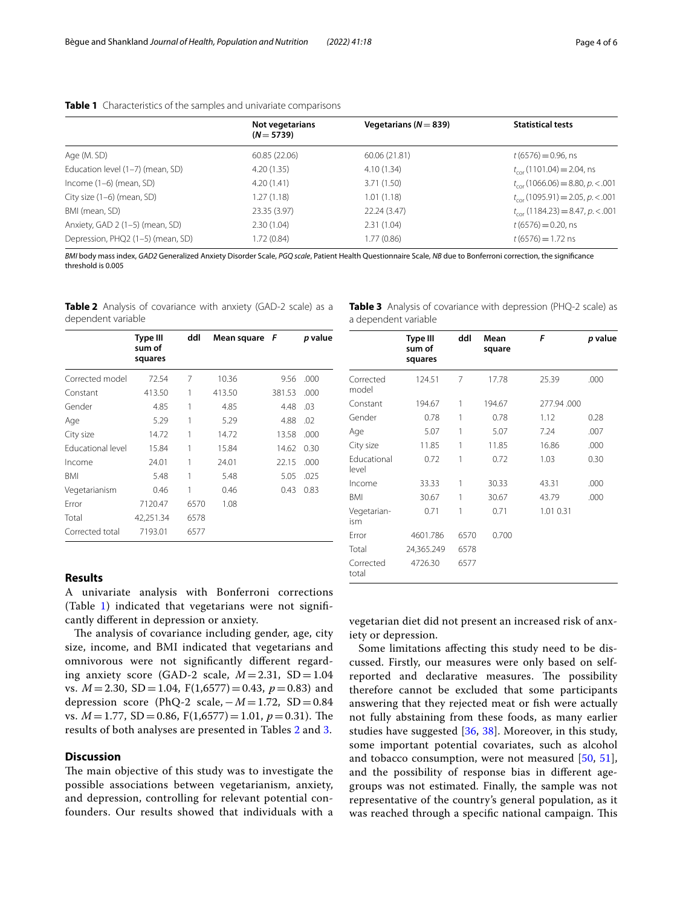| Not vegetarians<br>Vegetarians ( $N = 839$ )<br>$(N = 5739)$   | <b>Statistical tests</b>                  |
|----------------------------------------------------------------|-------------------------------------------|
|                                                                |                                           |
| 60.85 (22.06)<br>Age (M. SD)<br>60.06 (21.81)                  | $t(6576) = 0.96$ , ns                     |
| Education level (1-7) (mean, SD)<br>4.20(1.35)<br>4.10(1.34)   | $t_{cor}$ (1101.04) = 2.04, ns            |
| Income (1–6) (mean, SD)<br>3.71(1.50)<br>4.20(1.41)            | $t_{\rm cor}$ (1066.06) = 8.80, p. < .001 |
| City size $(1-6)$ (mean, SD)<br>1.27(1.18)<br>1.01(1.18)       | $t_{cor}$ (1095.91) = 2.05, p. < .001     |
| BMI (mean, SD)<br>23.35 (3.97)<br>22.24 (3.47)                 | $t_{\rm cor}$ (1184.23) = 8.47, p. < .001 |
| Anxiety, GAD 2 (1-5) (mean, SD)<br>2.30(1.04)<br>2.31(1.04)    | $t(6576) = 0.20$ , ns                     |
| Depression, PHQ2 (1-5) (mean, SD)<br>1.72(0.84)<br>1.77 (0.86) | $t(6576) = 1.72$ ns                       |

<span id="page-3-0"></span>**Table 1** Characteristics of the samples and univariate comparisons

*BMI* body mass index, *GAD2* Generalized Anxiety Disorder Scale, *PGQ scale*, Patient Health Questionnaire Scale, *NB* due to Bonferroni correction, the signifcance threshold is 0.005

<span id="page-3-1"></span>**Table 2** Analysis of covariance with anxiety (GAD-2 scale) as a dependent variable

|                          | Type III<br>sum of<br>squares | ddl  | Mean square F |        | <i>p</i> value |
|--------------------------|-------------------------------|------|---------------|--------|----------------|
| Corrected model          | 72.54                         | 7    | 10.36         | 9.56   | .000           |
| Constant                 | 413.50                        | 1    | 413.50        | 381.53 | .000           |
| Gender                   | 4.85                          | 1    | 4.85          | 4.48   | .03            |
| Age                      | 5.29                          | 1    | 5.29          | 4.88   | .02            |
| City size                | 14.72                         | 1    | 14.72         | 13.58  | .000           |
| <b>Educational level</b> | 15.84                         | 1    | 15.84         | 14.62  | 0.30           |
| Income                   | 24.01                         | 1    | 24.01         | 22.15  | .000           |
| <b>BMI</b>               | 5.48                          | 1    | 5.48          | 5.05   | .025           |
| Vegetarianism            | 0.46                          | 1    | 0.46          | 0.43   | 0.83           |
| Frror                    | 7120.47                       | 6570 | 1.08          |        |                |
| Total                    | 42,251.34                     | 6578 |               |        |                |
| Corrected total          | 7193.01                       | 6577 |               |        |                |

## **Results**

A univariate analysis with Bonferroni corrections (Table [1\)](#page-3-0) indicated that vegetarians were not signifcantly diferent in depression or anxiety.

The analysis of covariance including gender, age, city size, income, and BMI indicated that vegetarians and omnivorous were not signifcantly diferent regarding anxiety score (GAD-2 scale,  $M = 2.31$ , SD = 1.04 vs. *M*=2.30, SD=1.04, F(1,6577)=0.43, *p*=0.83) and depression score (PhQ-2 scale,−*M*=1.72, SD=0.84 vs.  $M = 1.77$ , SD = 0.86, F(1,6577) = 1.01,  $p = 0.31$ ). The results of both analyses are presented in Tables [2](#page-3-1) and [3](#page-3-2).

## **Discussion**

The main objective of this study was to investigate the possible associations between vegetarianism, anxiety, and depression, controlling for relevant potential confounders. Our results showed that individuals with a

<span id="page-3-2"></span>

|                      |  | Table 3 Analysis of covariance with depression (PHQ-2 scale) as |  |  |
|----------------------|--|-----------------------------------------------------------------|--|--|
| a dependent variable |  |                                                                 |  |  |

|                      | Type III<br>sum of<br>squares | ddl  | Mean<br>square | F          | p value |
|----------------------|-------------------------------|------|----------------|------------|---------|
| Corrected<br>model   | 124.51                        | 7    | 17.78          | 25.39      | .000    |
| Constant             | 194.67                        | 1    | 194.67         | 277.94.000 |         |
| Gender               | 0.78                          | 1    | 0.78           | 1.12       | 0.28    |
| Age                  | 5.07                          | 1    | 5.07           | 7.24       | .007    |
| City size            | 11.85                         | 1    | 11.85          | 16.86      | .000    |
| Educational<br>level | 0.72                          | 1    | 0.72           | 1.03       | 0.30    |
| Income               | 33.33                         | 1    | 30.33          | 43.31      | .000    |
| BMI                  | 30.67                         | 1    | 30.67          | 43.79      | .000    |
| Vegetarian-<br>ism   | 0.71                          | 1    | 0.71           | 1.01 0.31  |         |
| Error                | 4601.786                      | 6570 | 0.700          |            |         |
| Total                | 24,365.249                    | 6578 |                |            |         |
| Corrected<br>total   | 4726.30                       | 6577 |                |            |         |

vegetarian diet did not present an increased risk of anxiety or depression.

Some limitations afecting this study need to be discussed. Firstly, our measures were only based on selfreported and declarative measures. The possibility therefore cannot be excluded that some participants answering that they rejected meat or fsh were actually not fully abstaining from these foods, as many earlier studies have suggested [[36,](#page-5-7) [38\]](#page-5-9). Moreover, in this study, some important potential covariates, such as alcohol and tobacco consumption, were not measured [\[50](#page-5-18), [51](#page-5-19)], and the possibility of response bias in diferent agegroups was not estimated. Finally, the sample was not representative of the country's general population, as it was reached through a specific national campaign. This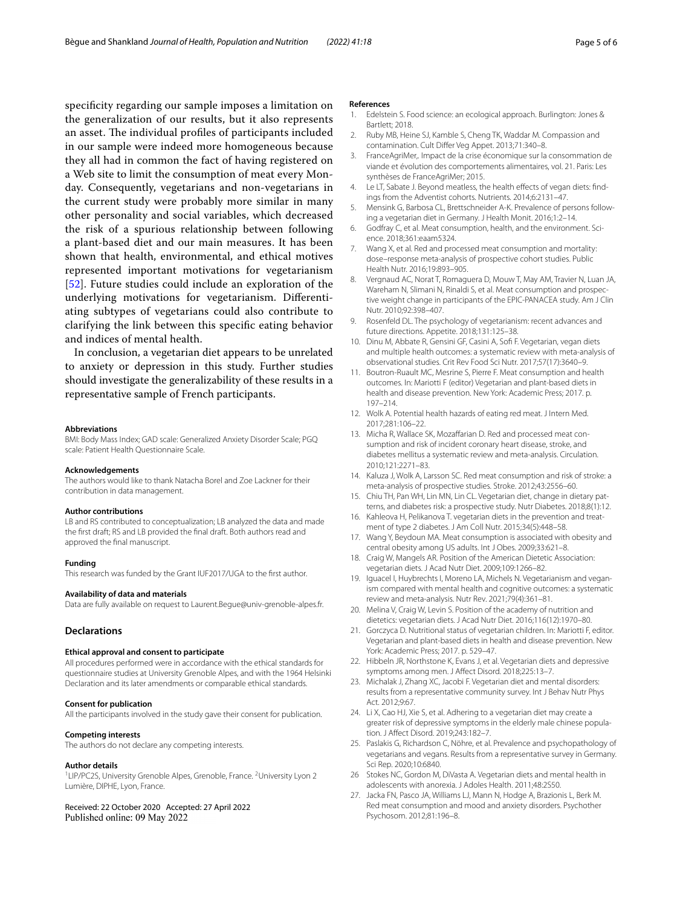specifcity regarding our sample imposes a limitation on the generalization of our results, but it also represents an asset. The individual profiles of participants included in our sample were indeed more homogeneous because they all had in common the fact of having registered on a Web site to limit the consumption of meat every Monday. Consequently, vegetarians and non-vegetarians in the current study were probably more similar in many other personality and social variables, which decreased the risk of a spurious relationship between following a plant-based diet and our main measures. It has been shown that health, environmental, and ethical motives represented important motivations for vegetarianism [[52\]](#page-5-20). Future studies could include an exploration of the underlying motivations for vegetarianism. Diferentiating subtypes of vegetarians could also contribute to clarifying the link between this specifc eating behavior and indices of mental health.

In conclusion, a vegetarian diet appears to be unrelated to anxiety or depression in this study. Further studies should investigate the generalizability of these results in a representative sample of French participants.

#### **Abbreviations**

BMI: Body Mass Index; GAD scale: Generalized Anxiety Disorder Scale; PGQ scale: Patient Health Questionnaire Scale.

#### **Acknowledgements**

The authors would like to thank Natacha Borel and Zoe Lackner for their contribution in data management.

#### **Author contributions**

LB and RS contributed to conceptualization; LB analyzed the data and made the frst draft; RS and LB provided the fnal draft. Both authors read and approved the fnal manuscript.

#### **Funding**

This research was funded by the Grant IUF2017/UGA to the frst author.

#### **Availability of data and materials**

Data are fully available on request to Laurent.Begue@univ-grenoble-alpes.fr.

## **Declarations**

#### **Ethical approval and consent to participate**

All procedures performed were in accordance with the ethical standards for questionnaire studies at University Grenoble Alpes, and with the 1964 Helsinki Declaration and its later amendments or comparable ethical standards.

## **Consent for publication**

All the participants involved in the study gave their consent for publication.

#### **Competing interests**

The authors do not declare any competing interests.

#### **Author details**

<sup>1</sup>LIP/PC2S, University Grenoble Alpes, Grenoble, France. <sup>2</sup>University Lyon 2 Lumière, DIPHE, Lyon, France.

## Received: 22 October 2020 Accepted: 27 April 2022 Published online: 09 May 2022

#### **References**

- <span id="page-4-0"></span>1. Edelstein S. Food science: an ecological approach. Burlington: Jones & Bartlett; 2018.
- <span id="page-4-1"></span>2. Ruby MB, Heine SJ, Kamble S, Cheng TK, Waddar M. Compassion and contamination. Cult Difer Veg Appet. 2013;71:340–8.
- <span id="page-4-2"></span>3. FranceAgriMer,. Impact de la crise économique sur la consommation de viande et évolution des comportements alimentaires, vol. 21. Paris: Les synthèses de FranceAgriMer; 2015.
- <span id="page-4-3"></span>4. Le LT, Sabate J. Beyond meatless, the health effects of vegan diets: findings from the Adventist cohorts. Nutrients. 2014;6:2131-47.
- <span id="page-4-4"></span>5. Mensink G, Barbosa CL, Brettschneider A-K. Prevalence of persons following a vegetarian diet in Germany. J Health Monit. 2016;1:2–14.
- <span id="page-4-5"></span>6. Godfray C, et al. Meat consumption, health, and the environment. Science. 2018;361:eaam5324.
- <span id="page-4-6"></span>7. Wang X, et al. Red and processed meat consumption and mortality: dose–response meta-analysis of prospective cohort studies. Public Health Nutr. 2016;19:893–905.
- <span id="page-4-7"></span>8. Vergnaud AC, Norat T, Romaguera D, Mouw T, May AM, Travier N, Luan JA, Wareham N, Slimani N, Rinaldi S, et al. Meat consumption and prospective weight change in participants of the EPIC-PANACEA study. Am J Clin Nutr. 2010;92:398–407.
- <span id="page-4-8"></span>9. Rosenfeld DL. The psychology of vegetarianism: recent advances and future directions. Appetite. 2018;131:125–38.
- <span id="page-4-9"></span>10. Dinu M, Abbate R, Gensini GF, Casini A, Sof F. Vegetarian, vegan diets and multiple health outcomes: a systematic review with meta-analysis of observational studies. Crit Rev Food Sci Nutr. 2017;57(17):3640–9.
- <span id="page-4-10"></span>11. Boutron-Ruault MC, Mesrine S, Pierre F. Meat consumption and health outcomes. In: Mariotti F (editor) Vegetarian and plant-based diets in health and disease prevention. New York: Academic Press; 2017. p. 197–214.
- <span id="page-4-11"></span>12. Wolk A. Potential health hazards of eating red meat. J Intern Med. 2017;281:106–22.
- <span id="page-4-12"></span>13. Micha R, Wallace SK, Mozaffarian D. Red and processed meat consumption and risk of incident coronary heart disease, stroke, and diabetes mellitus a systematic review and meta-analysis. Circulation. 2010;121:2271–83.
- <span id="page-4-14"></span>14. Kaluza J, Wolk A, Larsson SC. Red meat consumption and risk of stroke: a meta-analysis of prospective studies. Stroke. 2012;43:2556–60.
- <span id="page-4-13"></span>15. Chiu TH, Pan WH, Lin MN, Lin CL. Vegetarian diet, change in dietary patterns, and diabetes risk: a prospective study. Nutr Diabetes. 2018;8(1):12.
- <span id="page-4-15"></span>16. Kahleova H, Pelikanova T. vegetarian diets in the prevention and treatment of type 2 diabetes. J Am Coll Nutr. 2015;34(5):448–58.
- <span id="page-4-16"></span>17. Wang Y, Beydoun MA. Meat consumption is associated with obesity and central obesity among US adults. Int J Obes. 2009;33:621–8.
- <span id="page-4-17"></span>18. Craig W, Mangels AR. Position of the American Dietetic Association: vegetarian diets. J Acad Nutr Diet. 2009;109:1266–82.
- <span id="page-4-18"></span>19. Iguacel I, Huybrechts I, Moreno LA, Michels N. Vegetarianism and veganism compared with mental health and cognitive outcomes: a systematic review and meta-analysis. Nutr Rev. 2021;79(4):361–81.
- <span id="page-4-19"></span>20. Melina V, Craig W, Levin S. Position of the academy of nutrition and dietetics: vegetarian diets. J Acad Nutr Diet. 2016;116(12):1970–80.
- <span id="page-4-20"></span>21. Gorczyca D. Nutritional status of vegetarian children. In: Mariotti F, editor. Vegetarian and plant-based diets in health and disease prevention. New York: Academic Press; 2017. p. 529–47.
- <span id="page-4-21"></span>22. Hibbeln JR, Northstone K, Evans J, et al. Vegetarian diets and depressive symptoms among men. J Afect Disord. 2018;225:13–7.
- <span id="page-4-22"></span>23. Michalak J, Zhang XC, Jacobi F. Vegetarian diet and mental disorders: results from a representative community survey. Int J Behav Nutr Phys Act. 2012;9:67.
- 24. Li X, Cao HJ, Xie S, et al. Adhering to a vegetarian diet may create a greater risk of depressive symptoms in the elderly male chinese population. J Afect Disord. 2019;243:182–7.
- <span id="page-4-23"></span>25. Paslakis G, Richardson C, Nöhre, et al. Prevalence and psychopathology of vegetarians and vegans. Results from a representative survey in Germany. Sci Rep. 2020;10:6840.
- 26 Stokes NC, Gordon M, DiVasta A. Vegetarian diets and mental health in adolescents with anorexia. J Adoles Health. 2011;48:2S50.
- <span id="page-4-24"></span>27. Jacka FN, Pasco JA, Williams LJ, Mann N, Hodge A, Brazionis L, Berk M. Red meat consumption and mood and anxiety disorders. Psychother Psychosom. 2012;81:196–8.